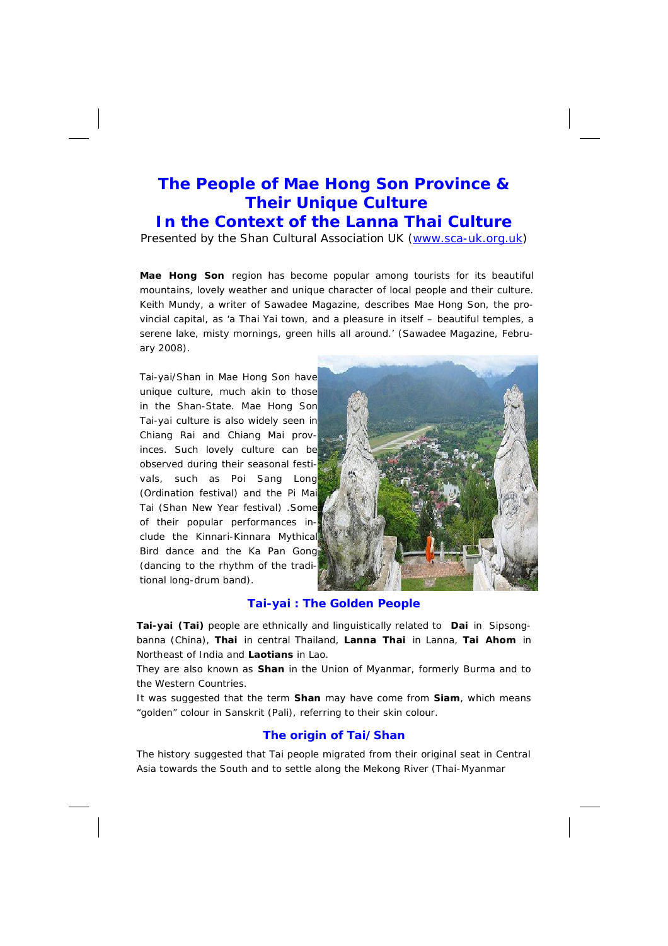# **The People of Mae Hong Son Province & Their Unique Culture**

# **In the Context of the Lanna Thai Culture**

Presented by the Shan Cultural Association UK (www.sca-uk.org.uk)

**Mae Hong Son** region has become popular among tourists for its beautiful mountains, lovely weather and unique character of local people and their culture. Keith Mundy, a writer of Sawadee Magazine, describes Mae Hong Son, the provincial capital, as 'a Thai Yai town, and a pleasure in itself – beautiful temples, a serene lake, misty mornings, green hills all around.' (Sawadee Magazine, February 2008).

Tai-yai/Shan in Mae Hong Son have unique culture, much akin to those in the Shan-State. Mae Hong Son Tai-yai culture is also widely seen in Chiang Rai and Chiang Mai provinces. Such lovely culture can be observed during their seasonal festivals, such as Poi Sang Long (Ordination festival) and the Pi Mai Tai (Shan New Year festival) .Some of their popular performances include the Kinnari-Kinnara Mythical Bird dance and the Ka Pan Gong (dancing to the rhythm of the traditional long-drum band).



## **Tai-yai : The Golden People**

**Tai-yai (Tai)** people are ethnically and linguistically related to **Dai** in Sipsongbanna (China), **Thai** in central Thailand, **Lanna Thai** in Lanna, **Tai Ahom** in Northeast of India and **Laotians** in Lao.

They are also known as *Shan* in the Union of Myanmar, formerly Burma and to the Western Countries.

It was suggested that the term *Shan* may have come from *Siam*, which means "golden" colour in Sanskrit (Pali), referring to their skin colour.

## **The origin of Tai/Shan**

The history suggested that Tai people migrated from their original seat in Central Asia towards the South and to settle along the Mekong River (Thai-Myanmar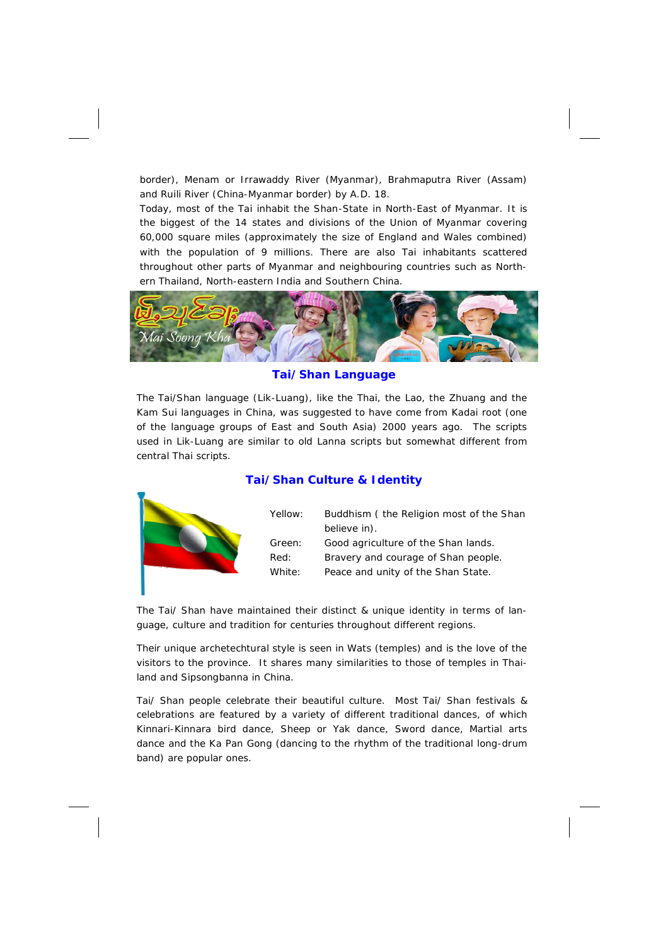border), Menam or Irrawaddy River (Myanmar), Brahmaputra River (Assam) and Ruili River (China-Myanmar border) by A.D. 18.

Today, most of the Tai inhabit the Shan-State in North-East of Myanmar. It is the biggest of the 14 states and divisions of the Union of Myanmar covering 60,000 square miles (approximately the size of England and Wales combined) with the population of 9 millions. There are also Tai inhabitants scattered throughout other parts of Myanmar and neighbouring countries such as Northern Thailand, North-eastern India and Southern China.



#### **Tai/Shan Language**

The Tai/Shan language (Lik-Luang), like the Thai, the Lao, the Zhuang and the Kam Sui languages in China, was suggested to have come from Kadai root (one of the language groups of East and South Asia) 2000 years ago. The scripts used in Lik-Luang are similar to old Lanna scripts but somewhat different from central Thai scripts.

## **Tai/Shan Culture & Identity**

|  | Yellow: | Buddhism (the Religion most of the Shan<br>believe in). |
|--|---------|---------------------------------------------------------|
|  | Green:  | Good agriculture of the Shan lands.                     |
|  | Red:    | Bravery and courage of Shan people.                     |
|  | White:  | Peace and unity of the Shan State.                      |
|  |         |                                                         |

The Tai/ Shan have maintained their distinct & unique identity in terms of language, culture and tradition for centuries throughout different regions.

Their unique archetechtural style is seen in Wats (temples) and is the love of the visitors to the province. It shares many similarities to those of temples in Thailand and Sipsongbanna in China.

Tai/ Shan people celebrate their beautiful culture. Most Tai/ Shan festivals & celebrations are featured by a variety of different traditional dances, of which Kinnari-Kinnara bird dance, Sheep or Yak dance, Sword dance, Martial arts dance and the Ka Pan Gong (dancing to the rhythm of the traditional long-drum band) are popular ones.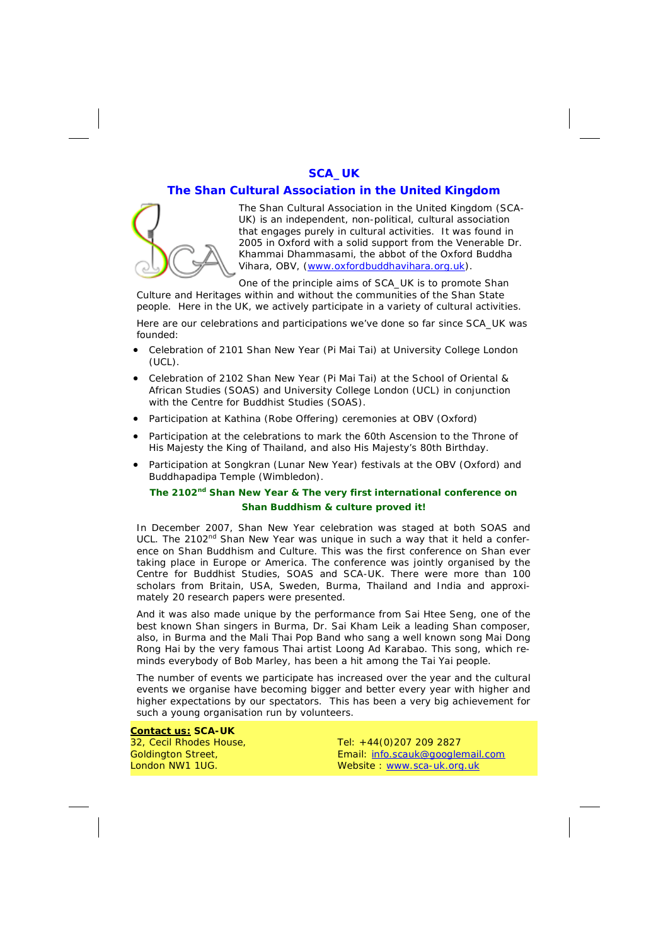## **SCA\_UK**

#### **The Shan Cultural Association in the United Kingdom**



The Shan Cultural Association in the United Kingdom (SCA-UK) is an independent, non-political, cultural association that engages purely in cultural activities. It was found in 2005 in Oxford with a solid support from the Venerable Dr. Khammai Dhammasami, the abbot of the Oxford Buddha Vihara, OBV, (www.oxfordbuddhavihara.org.uk).

One of the principle aims of SCA\_UK is to promote Shan Culture and Heritages within and without the communities of the Shan State

people. Here in the UK, we actively participate in a variety of cultural activities.

Here are our celebrations and participations we've done so far since SCA\_UK was founded:

- Celebration of 2101 Shan New Year (Pi Mai Tai) at University College London (UCL).
- Celebration of 2102 Shan New Year (Pi Mai Tai) at the School of Oriental & African Studies (SOAS) and University College London (UCL) in conjunction with the Centre for Buddhist Studies (SOAS).
- Participation at Kathina (Robe Offering) ceremonies at OBV (Oxford)
- Participation at the celebrations to mark the 60th Ascension to the Throne of His Majesty the King of Thailand, and also His Majesty's 80th Birthday.
- Participation at Songkran (Lunar New Year) festivals at the OBV (Oxford) and Buddhapadipa Temple (Wimbledon).

# *The 2102nd Shan New Year & The very first international conference on Shan Buddhism & culture proved it!*

In December 2007, Shan New Year celebration was staged at both SOAS and UCL. The  $2102<sup>nd</sup>$  Shan New Year was unique in such a way that it held a conference on Shan Buddhism and Culture. This was the first conference on Shan ever taking place in Europe or America. The conference was jointly organised by the Centre for Buddhist Studies, SOAS and SCA-UK. There were more than 100 scholars from Britain, USA, Sweden, Burma, Thailand and India and approximately 20 research papers were presented.

And it was also made unique by the performance from Sai Htee Seng, one of the best known Shan singers in Burma, Dr. Sai Kham Leik a leading Shan composer, also, in Burma and the Mali Thai Pop Band who sang a well known song Mai Dong Rong Hai by the very famous Thai artist Loong Ad Karabao. This song, which reminds everybody of Bob Marley, has been a hit among the Tai Yai people.

The number of events we participate has increased over the year and the cultural events we organise have becoming bigger and better every year with higher and higher expectations by our spectators. This has been a very big achievement for such a young organisation run by volunteers.

**Contact us: SCA-UK** 32, Cecil Rhodes House, Goldington Street, London NW1 1UG.

Tel: +44(0)207 209 2827 Email: info.scauk@googlemail.com Website : www.sca-uk.org.uk